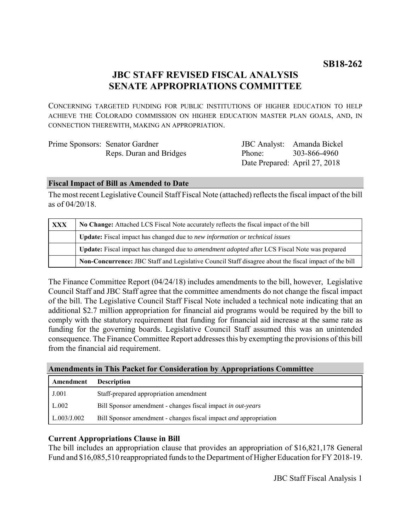# **JBC STAFF REVISED FISCAL ANALYSIS SENATE APPROPRIATIONS COMMITTEE**

CONCERNING TARGETED FUNDING FOR PUBLIC INSTITUTIONS OF HIGHER EDUCATION TO HELP ACHIEVE THE COLORADO COMMISSION ON HIGHER EDUCATION MASTER PLAN GOALS, AND, IN CONNECTION THEREWITH, MAKING AN APPROPRIATION.

| Prime Sponsors: Senator Gardner |        | JBC Analyst: Amanda Bickel    |
|---------------------------------|--------|-------------------------------|
| Reps. Duran and Bridges         | Phone: | 303-866-4960                  |
|                                 |        | Date Prepared: April 27, 2018 |

## **Fiscal Impact of Bill as Amended to Date**

The most recent Legislative Council Staff Fiscal Note (attached) reflects the fiscal impact of the bill as of 04/20/18.

| <b>XXX</b> | No Change: Attached LCS Fiscal Note accurately reflects the fiscal impact of the bill                       |  |
|------------|-------------------------------------------------------------------------------------------------------------|--|
|            | Update: Fiscal impact has changed due to new information or technical issues                                |  |
|            | <b>Update:</b> Fiscal impact has changed due to <i>amendment adopted</i> after LCS Fiscal Note was prepared |  |
|            | Non-Concurrence: JBC Staff and Legislative Council Staff disagree about the fiscal impact of the bill       |  |

The Finance Committee Report (04/24/18) includes amendments to the bill, however, Legislative Council Staff and JBC Staff agree that the committee amendments do not change the fiscal impact of the bill. The Legislative Council Staff Fiscal Note included a technical note indicating that an additional \$2.7 million appropriation for financial aid programs would be required by the bill to comply with the statutory requirement that funding for financial aid increase at the same rate as funding for the governing boards. Legislative Council Staff assumed this was an unintended consequence. The Finance Committee Report addresses this by exempting the provisions of this bill from the financial aid requirement.

## **Amendments in This Packet for Consideration by Appropriations Committee**

| Amendment   | <b>Description</b>                                                      |
|-------------|-------------------------------------------------------------------------|
| J.001       | Staff-prepared appropriation amendment                                  |
| L.002       | Bill Sponsor amendment - changes fiscal impact in out-years             |
| L.003/J.002 | Bill Sponsor amendment - changes fiscal impact <i>and</i> appropriation |

## **Current Appropriations Clause in Bill**

The bill includes an appropriation clause that provides an appropriation of \$16,821,178 General Fund and \$16,085,510 reappropriated funds to the Department of Higher Education for FY 2018-19.